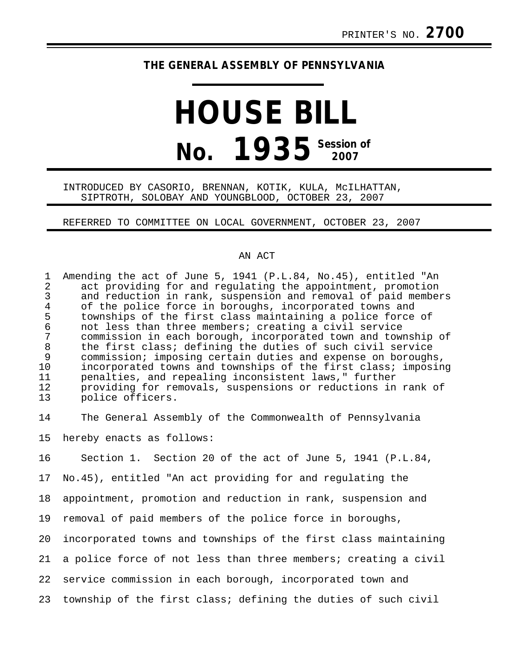## **THE GENERAL ASSEMBLY OF PENNSYLVANIA**

# **HOUSE BILL No. 1935** Session of

### INTRODUCED BY CASORIO, BRENNAN, KOTIK, KULA, McILHATTAN, SIPTROTH, SOLOBAY AND YOUNGBLOOD, OCTOBER 23, 2007

### REFERRED TO COMMITTEE ON LOCAL GOVERNMENT, OCTOBER 23, 2007

#### AN ACT

1 Amending the act of June 5, 1941 (P.L.84, No.45), entitled "An<br>2 act providing for and regulating the appointment, promotion 2 act providing for and regulating the appointment, promotion<br>3 and reduction in rank, suspension and removal of paid membe: 3 and reduction in rank, suspension and removal of paid members<br>4 of the police force in boroughs, incorporated towns and 4 of the police force in boroughs, incorporated towns and<br>5 townships of the first class maintaining a police force townships of the first class maintaining a police force of 6 not less than three members; creating a civil service 7 commission in each borough, incorporated town and township of 8 the first class; defining the duties of such civil service<br>9 commission; imposing certain duties and expense on borough; 9 commission; imposing certain duties and expense on boroughs,<br>10 incorporated towns and townships of the first class; imposin incorporated towns and townships of the first class; imposing 11 penalties, and repealing inconsistent laws," further 12 providing for removals, suspensions or reductions in rank of<br>13 police officers. police officers.

14 The General Assembly of the Commonwealth of Pennsylvania

15 hereby enacts as follows:

16 Section 1. Section 20 of the act of June 5, 1941 (P.L.84, 17 No.45), entitled "An act providing for and regulating the 18 appointment, promotion and reduction in rank, suspension and 19 removal of paid members of the police force in boroughs,

20 incorporated towns and townships of the first class maintaining 21 a police force of not less than three members; creating a civil 22 service commission in each borough, incorporated town and

23 township of the first class; defining the duties of such civil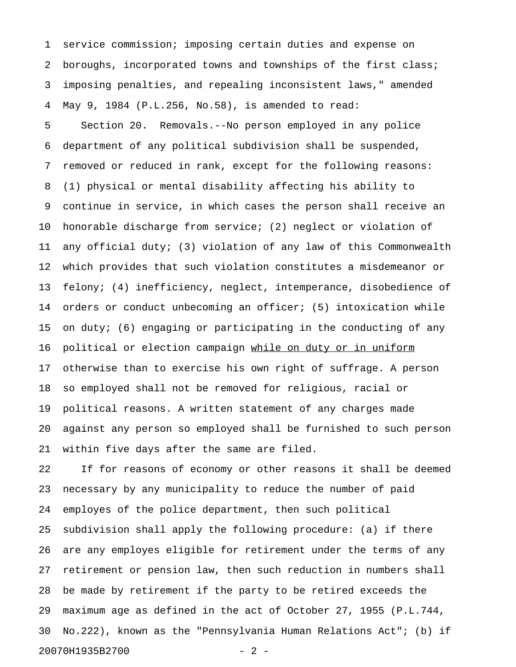1 service commission; imposing certain duties and expense on 2 boroughs, incorporated towns and townships of the first class; 3 imposing penalties, and repealing inconsistent laws," amended 4 May 9, 1984 (P.L.256, No.58), is amended to read: 5 Section 20. Removals.--No person employed in any police 6 department of any political subdivision shall be suspended, 7 removed or reduced in rank, except for the following reasons: 8 (1) physical or mental disability affecting his ability to 9 continue in service, in which cases the person shall receive an 10 honorable discharge from service; (2) neglect or violation of 11 any official duty; (3) violation of any law of this Commonwealth 12 which provides that such violation constitutes a misdemeanor or 13 felony; (4) inefficiency, neglect, intemperance, disobedience of 14 orders or conduct unbecoming an officer; (5) intoxication while 15 on duty; (6) engaging or participating in the conducting of any 16 political or election campaign while on duty or in uniform 17 otherwise than to exercise his own right of suffrage. A person 18 so employed shall not be removed for religious, racial or 19 political reasons. A written statement of any charges made 20 against any person so employed shall be furnished to such person 21 within five days after the same are filed.

22 If for reasons of economy or other reasons it shall be deemed 23 necessary by any municipality to reduce the number of paid 24 employes of the police department, then such political 25 subdivision shall apply the following procedure: (a) if there 26 are any employes eligible for retirement under the terms of any 27 retirement or pension law, then such reduction in numbers shall 28 be made by retirement if the party to be retired exceeds the 29 maximum age as defined in the act of October 27, 1955 (P.L.744, 30 No.222), known as the "Pennsylvania Human Relations Act"; (b) if 20070H1935B2700 - 2 -